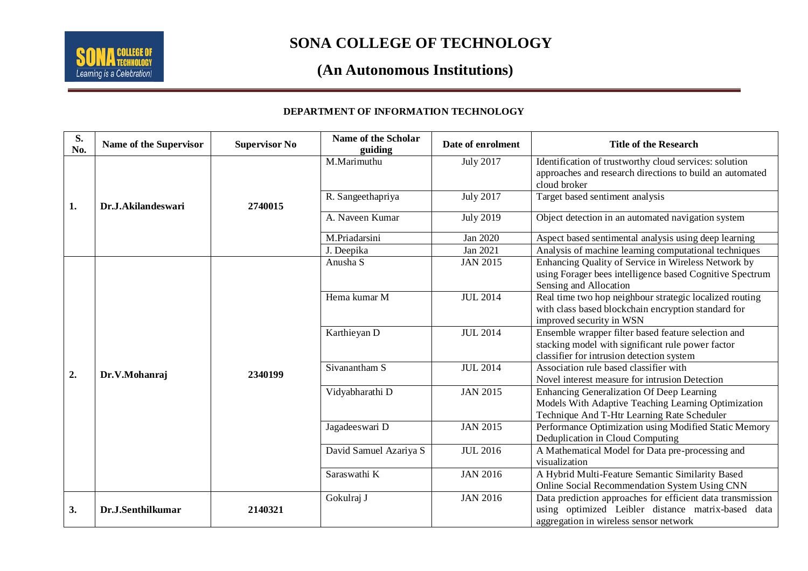

### **SONA COLLEGE OF TECHNOLOGY**

## **(An Autonomous Institutions)**

#### **DEPARTMENT OF INFORMATION TECHNOLOGY**

| S.<br>No. | Name of the Supervisor | <b>Supervisor No</b> | Name of the Scholar<br>guiding | Date of enrolment | <b>Title of the Research</b>                                                                     |
|-----------|------------------------|----------------------|--------------------------------|-------------------|--------------------------------------------------------------------------------------------------|
| 1.        | Dr.J.Akilandeswari     | 2740015              | M.Marimuthu                    | <b>July 2017</b>  | Identification of trustworthy cloud services: solution                                           |
|           |                        |                      |                                |                   | approaches and research directions to build an automated                                         |
|           |                        |                      |                                |                   | cloud broker                                                                                     |
|           |                        |                      | R. Sangeethapriya              | <b>July 2017</b>  | Target based sentiment analysis                                                                  |
|           |                        |                      | A. Naveen Kumar                | <b>July 2019</b>  | Object detection in an automated navigation system                                               |
|           |                        |                      | M.Priadarsini                  | Jan 2020          | Aspect based sentimental analysis using deep learning                                            |
|           |                        |                      | J. Deepika                     | Jan 2021          | Analysis of machine learning computational techniques                                            |
|           | Dr.V.Mohanraj          | 2340199              | Anusha S                       | <b>JAN 2015</b>   | Enhancing Quality of Service in Wireless Network by                                              |
|           |                        |                      |                                |                   | using Forager bees intelligence based Cognitive Spectrum                                         |
|           |                        |                      |                                |                   | Sensing and Allocation                                                                           |
|           |                        |                      | Hema kumar M                   | <b>JUL 2014</b>   | Real time two hop neighbour strategic localized routing                                          |
| 2.        |                        |                      |                                |                   | with class based blockchain encryption standard for                                              |
|           |                        |                      |                                |                   | improved security in WSN                                                                         |
|           |                        |                      | Karthieyan D                   | <b>JUL 2014</b>   | Ensemble wrapper filter based feature selection and                                              |
|           |                        |                      |                                |                   | stacking model with significant rule power factor                                                |
|           |                        |                      |                                |                   | classifier for intrusion detection system                                                        |
|           |                        |                      | Sivanantham S                  | <b>JUL 2014</b>   | Association rule based classifier with                                                           |
|           |                        |                      |                                | <b>JAN 2015</b>   | Novel interest measure for intrusion Detection                                                   |
|           |                        |                      | Vidyabharathi D                |                   | Enhancing Generalization Of Deep Learning<br>Models With Adaptive Teaching Learning Optimization |
|           |                        |                      |                                |                   | Technique And T-Htr Learning Rate Scheduler                                                      |
|           |                        |                      | Jagadeeswari D                 | <b>JAN 2015</b>   | Performance Optimization using Modified Static Memory                                            |
|           |                        |                      |                                |                   | Deduplication in Cloud Computing                                                                 |
|           |                        |                      | David Samuel Azariya S         | <b>JUL 2016</b>   | A Mathematical Model for Data pre-processing and                                                 |
|           |                        |                      |                                |                   | visualization                                                                                    |
|           |                        |                      | Saraswathi K                   | <b>JAN 2016</b>   | A Hybrid Multi-Feature Semantic Similarity Based                                                 |
|           |                        |                      |                                |                   | Online Social Recommendation System Using CNN                                                    |
| 3.        | Dr.J.Senthilkumar      | 2140321              | Gokulraj J                     | <b>JAN 2016</b>   | Data prediction approaches for efficient data transmission                                       |
|           |                        |                      |                                |                   | using optimized Leibler distance matrix-based data                                               |
|           |                        |                      |                                |                   | aggregation in wireless sensor network                                                           |